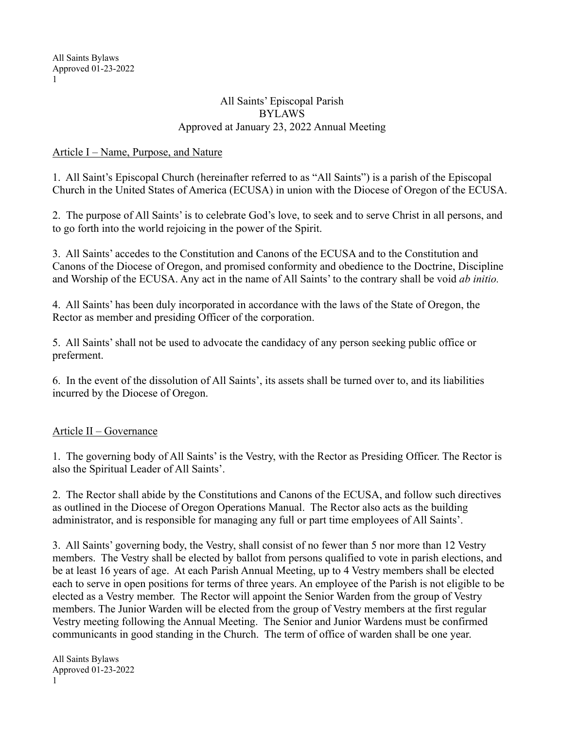#### All Saints' Episcopal Parish BYLAWS Approved at January 23, 2022 Annual Meeting

### Article I – Name, Purpose, and Nature

1. All Saint's Episcopal Church (hereinafter referred to as "All Saints") is a parish of the Episcopal Church in the United States of America (ECUSA) in union with the Diocese of Oregon of the ECUSA.

2. The purpose of All Saints' is to celebrate God's love, to seek and to serve Christ in all persons, and to go forth into the world rejoicing in the power of the Spirit.

3. All Saints' accedes to the Constitution and Canons of the ECUSA and to the Constitution and Canons of the Diocese of Oregon, and promised conformity and obedience to the Doctrine, Discipline and Worship of the ECUSA. Any act in the name of All Saints' to the contrary shall be void *ab initio.*

4. All Saints' has been duly incorporated in accordance with the laws of the State of Oregon, the Rector as member and presiding Officer of the corporation.

5. All Saints' shall not be used to advocate the candidacy of any person seeking public office or preferment.

6. In the event of the dissolution of All Saints', its assets shall be turned over to, and its liabilities incurred by the Diocese of Oregon.

## Article II – Governance

1. The governing body of All Saints' is the Vestry, with the Rector as Presiding Officer. The Rector is also the Spiritual Leader of All Saints'.

2. The Rector shall abide by the Constitutions and Canons of the ECUSA, and follow such directives as outlined in the Diocese of Oregon Operations Manual. The Rector also acts as the building administrator, and is responsible for managing any full or part time employees of All Saints'.

3. All Saints' governing body, the Vestry, shall consist of no fewer than 5 nor more than 12 Vestry members. The Vestry shall be elected by ballot from persons qualified to vote in parish elections, and be at least 16 years of age. At each Parish Annual Meeting, up to 4 Vestry members shall be elected each to serve in open positions for terms of three years. An employee of the Parish is not eligible to be elected as a Vestry member. The Rector will appoint the Senior Warden from the group of Vestry members. The Junior Warden will be elected from the group of Vestry members at the first regular Vestry meeting following the Annual Meeting. The Senior and Junior Wardens must be confirmed communicants in good standing in the Church. The term of office of warden shall be one year.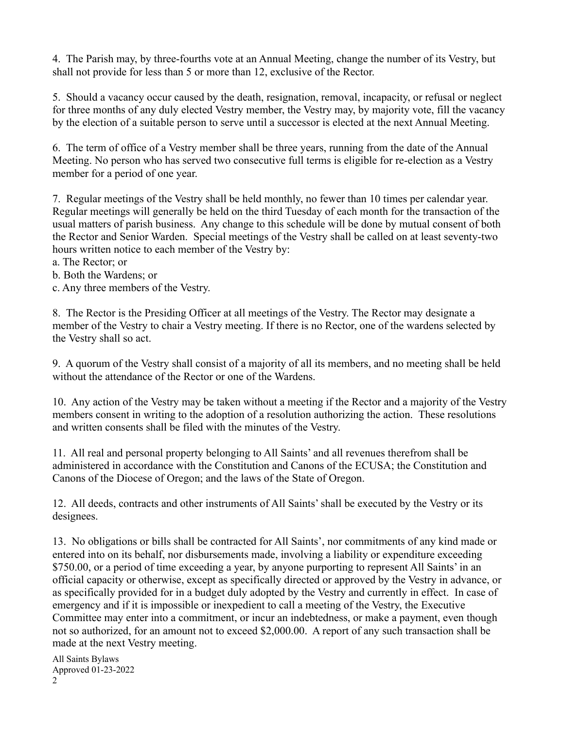4. The Parish may, by three-fourths vote at an Annual Meeting, change the number of its Vestry, but shall not provide for less than 5 or more than 12, exclusive of the Rector.

5. Should a vacancy occur caused by the death, resignation, removal, incapacity, or refusal or neglect for three months of any duly elected Vestry member, the Vestry may, by majority vote, fill the vacancy by the election of a suitable person to serve until a successor is elected at the next Annual Meeting.

6. The term of office of a Vestry member shall be three years, running from the date of the Annual Meeting. No person who has served two consecutive full terms is eligible for re-election as a Vestry member for a period of one year.

7. Regular meetings of the Vestry shall be held monthly, no fewer than 10 times per calendar year. Regular meetings will generally be held on the third Tuesday of each month for the transaction of the usual matters of parish business. Any change to this schedule will be done by mutual consent of both the Rector and Senior Warden. Special meetings of the Vestry shall be called on at least seventy-two hours written notice to each member of the Vestry by:

- a. The Rector; or
- b. Both the Wardens; or
- c. Any three members of the Vestry.

8. The Rector is the Presiding Officer at all meetings of the Vestry. The Rector may designate a member of the Vestry to chair a Vestry meeting. If there is no Rector, one of the wardens selected by the Vestry shall so act.

9. A quorum of the Vestry shall consist of a majority of all its members, and no meeting shall be held without the attendance of the Rector or one of the Wardens.

10. Any action of the Vestry may be taken without a meeting if the Rector and a majority of the Vestry members consent in writing to the adoption of a resolution authorizing the action. These resolutions and written consents shall be filed with the minutes of the Vestry.

11. All real and personal property belonging to All Saints' and all revenues therefrom shall be administered in accordance with the Constitution and Canons of the ECUSA; the Constitution and Canons of the Diocese of Oregon; and the laws of the State of Oregon.

12. All deeds, contracts and other instruments of All Saints' shall be executed by the Vestry or its designees.

13. No obligations or bills shall be contracted for All Saints', nor commitments of any kind made or entered into on its behalf, nor disbursements made, involving a liability or expenditure exceeding \$750.00, or a period of time exceeding a year, by anyone purporting to represent All Saints' in an official capacity or otherwise, except as specifically directed or approved by the Vestry in advance, or as specifically provided for in a budget duly adopted by the Vestry and currently in effect. In case of emergency and if it is impossible or inexpedient to call a meeting of the Vestry, the Executive Committee may enter into a commitment, or incur an indebtedness, or make a payment, even though not so authorized, for an amount not to exceed \$2,000.00. A report of any such transaction shall be made at the next Vestry meeting.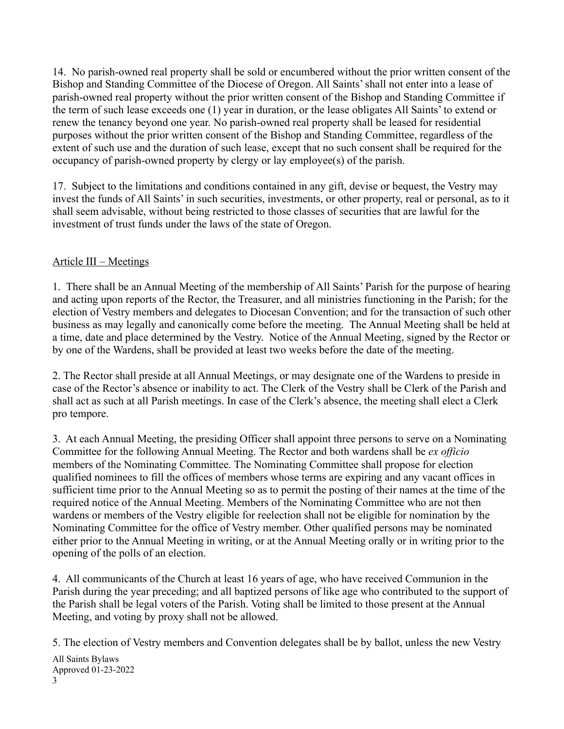14. No parish-owned real property shall be sold or encumbered without the prior written consent of the Bishop and Standing Committee of the Diocese of Oregon. All Saints' shall not enter into a lease of parish-owned real property without the prior written consent of the Bishop and Standing Committee if the term of such lease exceeds one (1) year in duration, or the lease obligates All Saints' to extend or renew the tenancy beyond one year. No parish-owned real property shall be leased for residential purposes without the prior written consent of the Bishop and Standing Committee, regardless of the extent of such use and the duration of such lease, except that no such consent shall be required for the occupancy of parish-owned property by clergy or lay employee(s) of the parish.

17. Subject to the limitations and conditions contained in any gift, devise or bequest, the Vestry may invest the funds of All Saints' in such securities, investments, or other property, real or personal, as to it shall seem advisable, without being restricted to those classes of securities that are lawful for the investment of trust funds under the laws of the state of Oregon.

## Article III – Meetings

1. There shall be an Annual Meeting of the membership of All Saints' Parish for the purpose of hearing and acting upon reports of the Rector, the Treasurer, and all ministries functioning in the Parish; for the election of Vestry members and delegates to Diocesan Convention; and for the transaction of such other business as may legally and canonically come before the meeting. The Annual Meeting shall be held at a time, date and place determined by the Vestry. Notice of the Annual Meeting, signed by the Rector or by one of the Wardens, shall be provided at least two weeks before the date of the meeting.

2. The Rector shall preside at all Annual Meetings, or may designate one of the Wardens to preside in case of the Rector's absence or inability to act. The Clerk of the Vestry shall be Clerk of the Parish and shall act as such at all Parish meetings. In case of the Clerk's absence, the meeting shall elect a Clerk pro tempore.

3. At each Annual Meeting, the presiding Officer shall appoint three persons to serve on a Nominating Committee for the following Annual Meeting. The Rector and both wardens shall be *ex officio*  members of the Nominating Committee. The Nominating Committee shall propose for election qualified nominees to fill the offices of members whose terms are expiring and any vacant offices in sufficient time prior to the Annual Meeting so as to permit the posting of their names at the time of the required notice of the Annual Meeting. Members of the Nominating Committee who are not then wardens or members of the Vestry eligible for reelection shall not be eligible for nomination by the Nominating Committee for the office of Vestry member. Other qualified persons may be nominated either prior to the Annual Meeting in writing, or at the Annual Meeting orally or in writing prior to the opening of the polls of an election.

4. All communicants of the Church at least 16 years of age, who have received Communion in the Parish during the year preceding; and all baptized persons of like age who contributed to the support of the Parish shall be legal voters of the Parish. Voting shall be limited to those present at the Annual Meeting, and voting by proxy shall not be allowed.

5. The election of Vestry members and Convention delegates shall be by ballot, unless the new Vestry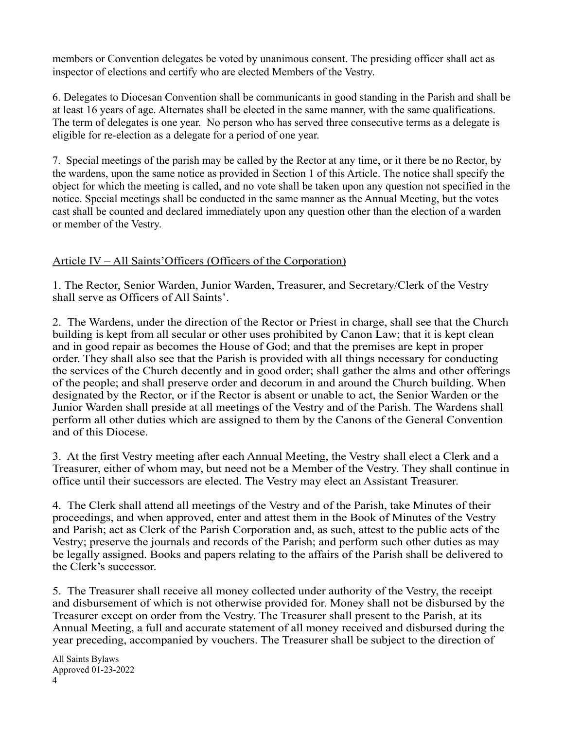members or Convention delegates be voted by unanimous consent. The presiding officer shall act as inspector of elections and certify who are elected Members of the Vestry.

6. Delegates to Diocesan Convention shall be communicants in good standing in the Parish and shall be at least 16 years of age. Alternates shall be elected in the same manner, with the same qualifications. The term of delegates is one year. No person who has served three consecutive terms as a delegate is eligible for re-election as a delegate for a period of one year.

7. Special meetings of the parish may be called by the Rector at any time, or it there be no Rector, by the wardens, upon the same notice as provided in Section 1 of this Article. The notice shall specify the object for which the meeting is called, and no vote shall be taken upon any question not specified in the notice. Special meetings shall be conducted in the same manner as the Annual Meeting, but the votes cast shall be counted and declared immediately upon any question other than the election of a warden or member of the Vestry.

# Article IV – All Saints'Officers (Officers of the Corporation)

1. The Rector, Senior Warden, Junior Warden, Treasurer, and Secretary/Clerk of the Vestry shall serve as Officers of All Saints'.

2. The Wardens, under the direction of the Rector or Priest in charge, shall see that the Church building is kept from all secular or other uses prohibited by Canon Law; that it is kept clean and in good repair as becomes the House of God; and that the premises are kept in proper order. They shall also see that the Parish is provided with all things necessary for conducting the services of the Church decently and in good order; shall gather the alms and other offerings of the people; and shall preserve order and decorum in and around the Church building. When designated by the Rector, or if the Rector is absent or unable to act, the Senior Warden or the Junior Warden shall preside at all meetings of the Vestry and of the Parish. The Wardens shall perform all other duties which are assigned to them by the Canons of the General Convention and of this Diocese.

3. At the first Vestry meeting after each Annual Meeting, the Vestry shall elect a Clerk and a Treasurer, either of whom may, but need not be a Member of the Vestry. They shall continue in office until their successors are elected. The Vestry may elect an Assistant Treasurer.

4. The Clerk shall attend all meetings of the Vestry and of the Parish, take Minutes of their proceedings, and when approved, enter and attest them in the Book of Minutes of the Vestry and Parish; act as Clerk of the Parish Corporation and, as such, attest to the public acts of the Vestry; preserve the journals and records of the Parish; and perform such other duties as may be legally assigned. Books and papers relating to the affairs of the Parish shall be delivered to the Clerk's successor.

5. The Treasurer shall receive all money collected under authority of the Vestry, the receipt and disbursement of which is not otherwise provided for. Money shall not be disbursed by the Treasurer except on order from the Vestry. The Treasurer shall present to the Parish, at its Annual Meeting, a full and accurate statement of all money received and disbursed during the year preceding, accompanied by vouchers. The Treasurer shall be subject to the direction of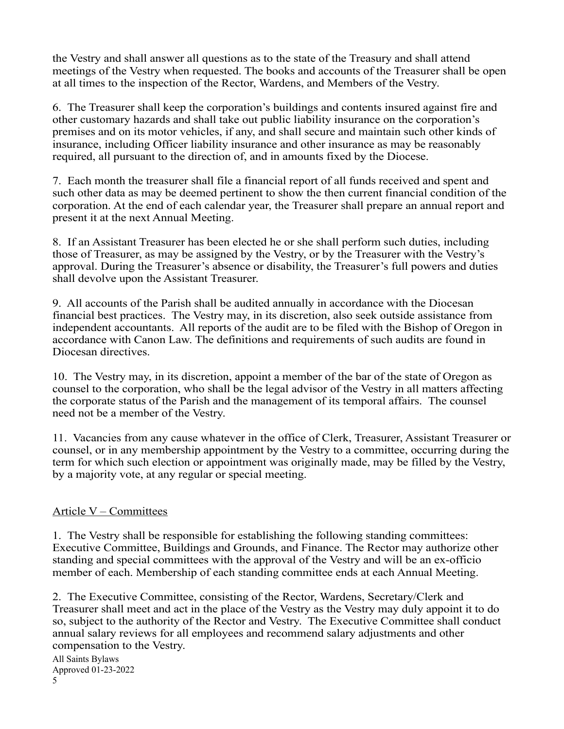the Vestry and shall answer all questions as to the state of the Treasury and shall attend meetings of the Vestry when requested. The books and accounts of the Treasurer shall be open at all times to the inspection of the Rector, Wardens, and Members of the Vestry.

6. The Treasurer shall keep the corporation's buildings and contents insured against fire and other customary hazards and shall take out public liability insurance on the corporation's premises and on its motor vehicles, if any, and shall secure and maintain such other kinds of insurance, including Officer liability insurance and other insurance as may be reasonably required, all pursuant to the direction of, and in amounts fixed by the Diocese.

7. Each month the treasurer shall file a financial report of all funds received and spent and such other data as may be deemed pertinent to show the then current financial condition of the corporation. At the end of each calendar year, the Treasurer shall prepare an annual report and present it at the next Annual Meeting.

8. If an Assistant Treasurer has been elected he or she shall perform such duties, including those of Treasurer, as may be assigned by the Vestry, or by the Treasurer with the Vestry's approval. During the Treasurer's absence or disability, the Treasurer's full powers and duties shall devolve upon the Assistant Treasurer.

9. All accounts of the Parish shall be audited annually in accordance with the Diocesan financial best practices. The Vestry may, in its discretion, also seek outside assistance from independent accountants. All reports of the audit are to be filed with the Bishop of Oregon in accordance with Canon Law. The definitions and requirements of such audits are found in Diocesan directives.

10. The Vestry may, in its discretion, appoint a member of the bar of the state of Oregon as counsel to the corporation, who shall be the legal advisor of the Vestry in all matters affecting the corporate status of the Parish and the management of its temporal affairs. The counsel need not be a member of the Vestry.

11. Vacancies from any cause whatever in the office of Clerk, Treasurer, Assistant Treasurer or counsel, or in any membership appointment by the Vestry to a committee, occurring during the term for which such election or appointment was originally made, may be filled by the Vestry, by a majority vote, at any regular or special meeting.

## Article V – Committees

1. The Vestry shall be responsible for establishing the following standing committees: Executive Committee, Buildings and Grounds, and Finance. The Rector may authorize other standing and special committees with the approval of the Vestry and will be an ex-officio member of each. Membership of each standing committee ends at each Annual Meeting.

2. The Executive Committee, consisting of the Rector, Wardens, Secretary/Clerk and Treasurer shall meet and act in the place of the Vestry as the Vestry may duly appoint it to do so, subject to the authority of the Rector and Vestry. The Executive Committee shall conduct annual salary reviews for all employees and recommend salary adjustments and other compensation to the Vestry.